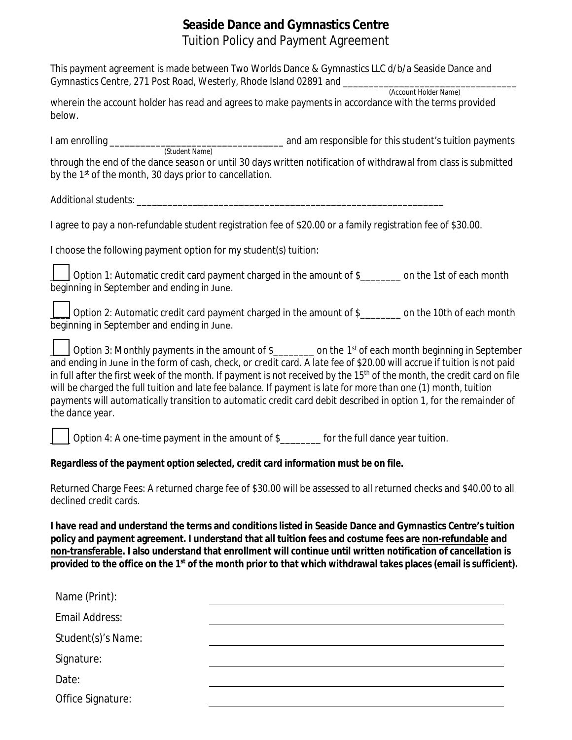## **Seaside Dance and Gymnastics Centre** Tuition Policy and Payment Agreement

| This payment agreement is made between Two Worlds Dance & Gymnastics LLC d/b/a Seaside Dance and<br>Gymnastics Centre, 271 Post Road, Westerly, Rhode Island 02891 and ________                                                                                                                                                                                                                                                                                                                                                                                                                                                                |  |
|------------------------------------------------------------------------------------------------------------------------------------------------------------------------------------------------------------------------------------------------------------------------------------------------------------------------------------------------------------------------------------------------------------------------------------------------------------------------------------------------------------------------------------------------------------------------------------------------------------------------------------------------|--|
| (Account Holder Name)<br>wherein the account holder has read and agrees to make payments in accordance with the terms provided<br>below.                                                                                                                                                                                                                                                                                                                                                                                                                                                                                                       |  |
|                                                                                                                                                                                                                                                                                                                                                                                                                                                                                                                                                                                                                                                |  |
| through the end of the dance season or until 30 days written notification of withdrawal from class is submitted<br>by the 1 <sup>st</sup> of the month, 30 days prior to cancellation.                                                                                                                                                                                                                                                                                                                                                                                                                                                         |  |
|                                                                                                                                                                                                                                                                                                                                                                                                                                                                                                                                                                                                                                                |  |
| I agree to pay a non-refundable student registration fee of \$20.00 or a family registration fee of \$30.00.                                                                                                                                                                                                                                                                                                                                                                                                                                                                                                                                   |  |
| I choose the following payment option for my student(s) tuition:                                                                                                                                                                                                                                                                                                                                                                                                                                                                                                                                                                               |  |
| Option 1: Automatic credit card payment charged in the amount of \$_______ on the 1st of each month<br>beginning in September and ending in June.                                                                                                                                                                                                                                                                                                                                                                                                                                                                                              |  |
| Option 2: Automatic credit card payment charged in the amount of \$________ on the 10th of each month<br>beginning in September and ending in June.                                                                                                                                                                                                                                                                                                                                                                                                                                                                                            |  |
| Option 3: Monthly payments in the amount of \$________ on the 1 <sup>st</sup> of each month beginning in September<br>and ending in June in the form of cash, check, or credit card. A late fee of \$20.00 will accrue if tuition is not paid<br>in full after the first week of the month. If payment is not received by the 15 <sup>th</sup> of the month, the credit card on file<br>will be charged the full tuition and late fee balance. If payment is late for more than one (1) month, tuition<br>payments will automatically transition to automatic credit card debit described in option 1, for the remainder of<br>the dance year. |  |
| Option 4: A one-time payment in the amount of \$________ for the full dance year tuition.                                                                                                                                                                                                                                                                                                                                                                                                                                                                                                                                                      |  |
| Regardless of the payment option selected, credit card information must be on file.                                                                                                                                                                                                                                                                                                                                                                                                                                                                                                                                                            |  |
| Returned Charge Fees: A returned charge fee of \$30.00 will be assessed to all returned checks and \$40.00 to all<br>declined credit cards.                                                                                                                                                                                                                                                                                                                                                                                                                                                                                                    |  |
| I have read and understand the terms and conditions listed in Seaside Dance and Gymnastics Centre's tuition<br>policy and payment agreement. I understand that all tuition fees and costume fees are non-refundable and<br>non-transferable. I also understand that enrollment will continue until written notification of cancellation is<br>provided to the office on the 1 <sup>st</sup> of the month prior to that which withdrawal takes places (email is sufficient).                                                                                                                                                                    |  |
| Name (Print):                                                                                                                                                                                                                                                                                                                                                                                                                                                                                                                                                                                                                                  |  |
| Email Address:                                                                                                                                                                                                                                                                                                                                                                                                                                                                                                                                                                                                                                 |  |
| Student(s)'s Name:                                                                                                                                                                                                                                                                                                                                                                                                                                                                                                                                                                                                                             |  |
| Signature:                                                                                                                                                                                                                                                                                                                                                                                                                                                                                                                                                                                                                                     |  |
| Date:                                                                                                                                                                                                                                                                                                                                                                                                                                                                                                                                                                                                                                          |  |
| Office Signature:                                                                                                                                                                                                                                                                                                                                                                                                                                                                                                                                                                                                                              |  |